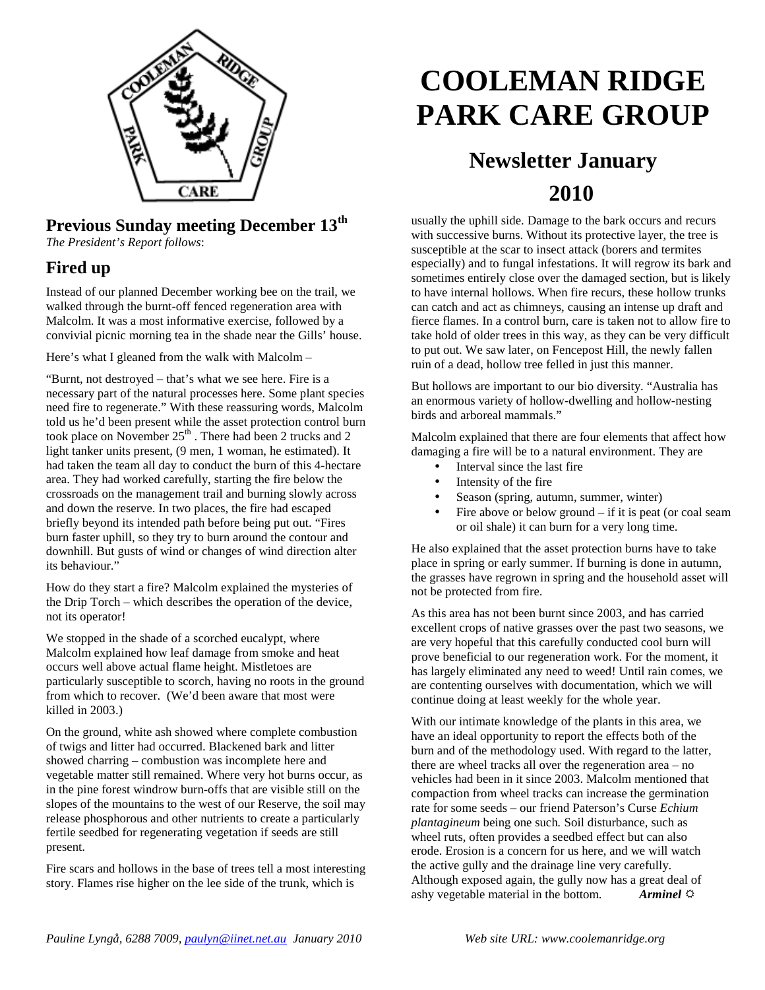

### **Previous Sunday meeting December 13th**

*The President's Report follows*:

#### **Fired up**

Instead of our planned December working bee on the trail, we walked through the burnt-off fenced regeneration area with Malcolm. It was a most informative exercise, followed by a convivial picnic morning tea in the shade near the Gills' house.

Here's what I gleaned from the walk with Malcolm –

"Burnt, not destroyed – that's what we see here. Fire is a necessary part of the natural processes here. Some plant species need fire to regenerate." With these reassuring words, Malcolm told us he'd been present while the asset protection control burn took place on November  $25<sup>th</sup>$ . There had been 2 trucks and 2 light tanker units present, (9 men, 1 woman, he estimated). It had taken the team all day to conduct the burn of this 4-hectare area. They had worked carefully, starting the fire below the crossroads on the management trail and burning slowly across and down the reserve. In two places, the fire had escaped briefly beyond its intended path before being put out. "Fires burn faster uphill, so they try to burn around the contour and downhill. But gusts of wind or changes of wind direction alter its behaviour."

How do they start a fire? Malcolm explained the mysteries of the Drip Torch – which describes the operation of the device, not its operator!

We stopped in the shade of a scorched eucalypt, where Malcolm explained how leaf damage from smoke and heat occurs well above actual flame height. Mistletoes are particularly susceptible to scorch, having no roots in the ground from which to recover. (We'd been aware that most were killed in 2003.)

On the ground, white ash showed where complete combustion of twigs and litter had occurred. Blackened bark and litter showed charring – combustion was incomplete here and vegetable matter still remained. Where very hot burns occur, as in the pine forest windrow burn-offs that are visible still on the slopes of the mountains to the west of our Reserve, the soil may release phosphorous and other nutrients to create a particularly fertile seedbed for regenerating vegetation if seeds are still present.

Fire scars and hollows in the base of trees tell a most interesting story. Flames rise higher on the lee side of the trunk, which is

# **COOLEMAN RIDGE PARK CARE GROUP**

## **Newsletter January 2010**

usually the uphill side. Damage to the bark occurs and recurs with successive burns. Without its protective layer, the tree is susceptible at the scar to insect attack (borers and termites especially) and to fungal infestations. It will regrow its bark and sometimes entirely close over the damaged section, but is likely to have internal hollows. When fire recurs, these hollow trunks can catch and act as chimneys, causing an intense up draft and fierce flames. In a control burn, care is taken not to allow fire to take hold of older trees in this way, as they can be very difficult to put out. We saw later, on Fencepost Hill, the newly fallen ruin of a dead, hollow tree felled in just this manner.

But hollows are important to our bio diversity. "Australia has an enormous variety of hollow-dwelling and hollow-nesting birds and arboreal mammals."

Malcolm explained that there are four elements that affect how damaging a fire will be to a natural environment. They are

- Interval since the last fire
- Intensity of the fire
- Season (spring, autumn, summer, winter)
- Fire above or below ground  $-$  if it is peat (or coal seam or oil shale) it can burn for a very long time.

He also explained that the asset protection burns have to take place in spring or early summer. If burning is done in autumn, the grasses have regrown in spring and the household asset will not be protected from fire.

As this area has not been burnt since 2003, and has carried excellent crops of native grasses over the past two seasons, we are very hopeful that this carefully conducted cool burn will prove beneficial to our regeneration work. For the moment, it has largely eliminated any need to weed! Until rain comes, we are contenting ourselves with documentation, which we will continue doing at least weekly for the whole year.

With our intimate knowledge of the plants in this area, we have an ideal opportunity to report the effects both of the burn and of the methodology used. With regard to the latter, there are wheel tracks all over the regeneration area – no vehicles had been in it since 2003. Malcolm mentioned that compaction from wheel tracks can increase the germination rate for some seeds – our friend Paterson's Curse *Echium plantagineum* being one such*.* Soil disturbance, such as wheel ruts, often provides a seedbed effect but can also erode. Erosion is a concern for us here, and we will watch the active gully and the drainage line very carefully. Although exposed again, the gully now has a great deal of ashy vegetable material in the bottom. *Arminel*